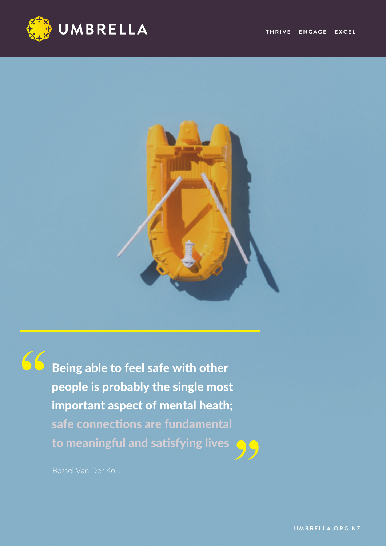



**66** Being able to feel safe with other people is probably the single most important aspect of mental heath; safe connections are fundamental to meaningful and satisfying lives



Bessel Van Der Kolk